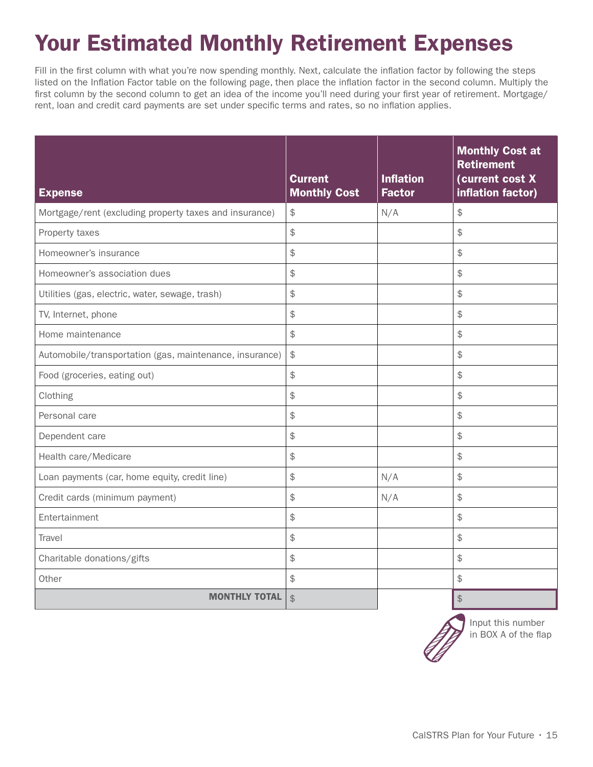## Your Estimated Monthly Retirement Expenses

Fill in the first column with what you're now spending monthly. Next, calculate the inflation factor by following the steps listed on the Inflation Factor table on the following page, then place the inflation factor in the second column. Multiply the first column by the second column to get an idea of the income you'll need during your first year of retirement. Mortgage/ rent, loan and credit card payments are set under specific terms and rates, so no inflation applies.

| <b>Expense</b>                                          | <b>Current</b><br><b>Monthly Cost</b> | <b>Inflation</b><br><b>Factor</b> | <b>Monthly Cost at</b><br><b>Retirement</b><br>(current cost X<br>inflation factor) |
|---------------------------------------------------------|---------------------------------------|-----------------------------------|-------------------------------------------------------------------------------------|
| Mortgage/rent (excluding property taxes and insurance)  | \$                                    | N/A                               | $\updownarrow$                                                                      |
| Property taxes                                          | \$                                    |                                   | \$                                                                                  |
| Homeowner's insurance                                   | \$                                    |                                   | $\frac{1}{2}$                                                                       |
| Homeowner's association dues                            | \$                                    |                                   | $\frac{1}{2}$                                                                       |
| Utilities (gas, electric, water, sewage, trash)         | \$                                    |                                   | \$                                                                                  |
| TV, Internet, phone                                     | \$                                    |                                   | \$                                                                                  |
| Home maintenance                                        | \$                                    |                                   | \$                                                                                  |
| Automobile/transportation (gas, maintenance, insurance) | \$                                    |                                   | $\frac{1}{2}$                                                                       |
| Food (groceries, eating out)                            | \$                                    |                                   | $\frac{1}{2}$                                                                       |
| Clothing                                                | \$                                    |                                   | $\frac{1}{2}$                                                                       |
| Personal care                                           | \$                                    |                                   | $\frac{1}{2}$                                                                       |
| Dependent care                                          | \$                                    |                                   | \$                                                                                  |
| Health care/Medicare                                    | \$                                    |                                   | $\frac{1}{2}$                                                                       |
| Loan payments (car, home equity, credit line)           | \$                                    | N/A                               | $\frac{1}{2}$                                                                       |
| Credit cards (minimum payment)                          | \$                                    | N/A                               | $\frac{1}{2}$                                                                       |
| Entertainment                                           | \$                                    |                                   | $\frac{1}{2}$                                                                       |
| Travel                                                  | \$                                    |                                   | $\frac{1}{2}$                                                                       |
| Charitable donations/gifts                              | \$                                    |                                   | \$                                                                                  |
| Other                                                   | \$                                    |                                   | $\mathfrak{S}$                                                                      |
| <b>MONTHLY TOTAL</b>                                    | $\mathfrak{P}$                        |                                   | \$                                                                                  |



Input this number in BOX A of the flap